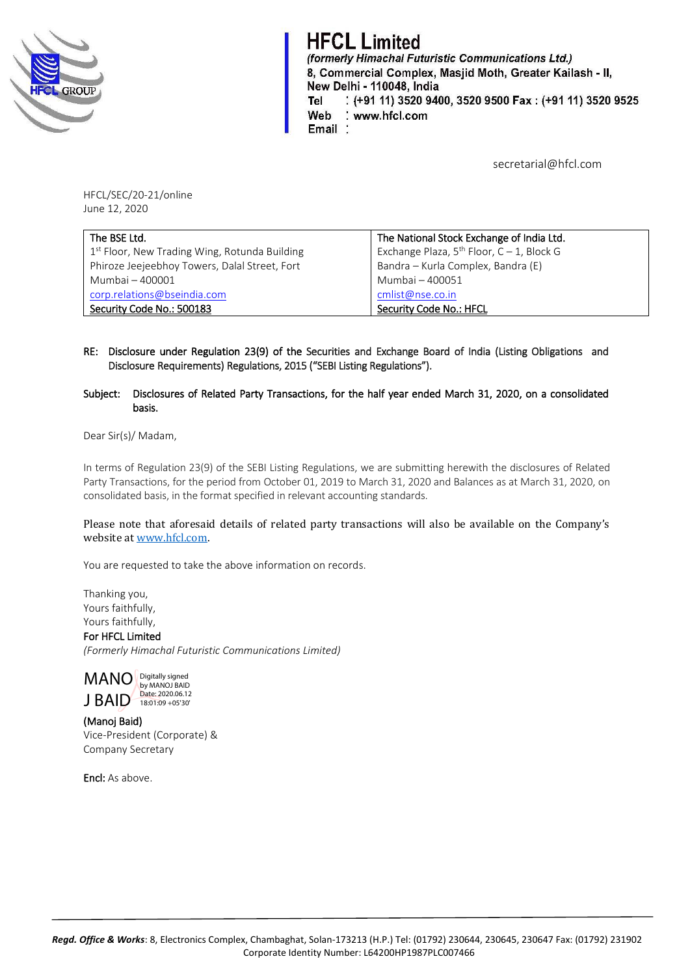

**HFCL Limited** (formerly Himachal Futuristic Communications Ltd.) 8, Commercial Complex, Masjid Moth, Greater Kailash - II, New Delhi - 110048, India : (+91 11) 3520 9400, 3520 9500 Fax: (+91 11) 3520 9525 Tel Web : www.hfcl.com Email:

secretarial@hfcl.com

HFCL/SEC/20-21/online June 12, 2020

| The BSE Ltd.                                              | The National Stock Exchange of India Ltd.         |  |
|-----------------------------------------------------------|---------------------------------------------------|--|
| 1 <sup>st</sup> Floor, New Trading Wing, Rotunda Building | Exchange Plaza, $5^{th}$ Floor, $C - 1$ , Block G |  |
| Phiroze Jeejeebhoy Towers, Dalal Street, Fort             | Bandra – Kurla Complex, Bandra (E)                |  |
| Mumbai - 400001                                           | Mumbai - 400051                                   |  |
| corp.relations@bseindia.com                               | cmlist@nse.co.in                                  |  |
| Security Code No.: 500183                                 | Security Code No.: HFCL                           |  |

- RE: Disclosure under Regulation 23(9) of the Securities and Exchange Board of India (Listing Obligations and Disclosure Requirements) Regulations, 2015 ("SEBI Listing Regulations").
- Subject: Disclosures of Related Party Transactions, for the half year ended March 31, 2020, on a consolidated basis.

Dear Sir(s)/ Madam,

In terms of Regulation 23(9) of the SEBI Listing Regulations, we are submitting herewith the disclosures of Related Party Transactions, for the period from October 01, 2019 to March 31, 2020 and Balances as at March 31, 2020, on consolidated basis, in the format specified in relevant accounting standards.

Please note that aforesaid details of related party transactions will also be available on the Company's website at [www.hfcl.com.](http://www.hfcl.com/)

You are requested to take the above information on records.

Thanking you, Yours faithfully, Yours faithfully,

For HFCL Limited *(Formerly Himachal Futuristic Communications Limited)*



(Manoj Baid) Vice-President (Corporate) & Company Secretary

Encl: As above.